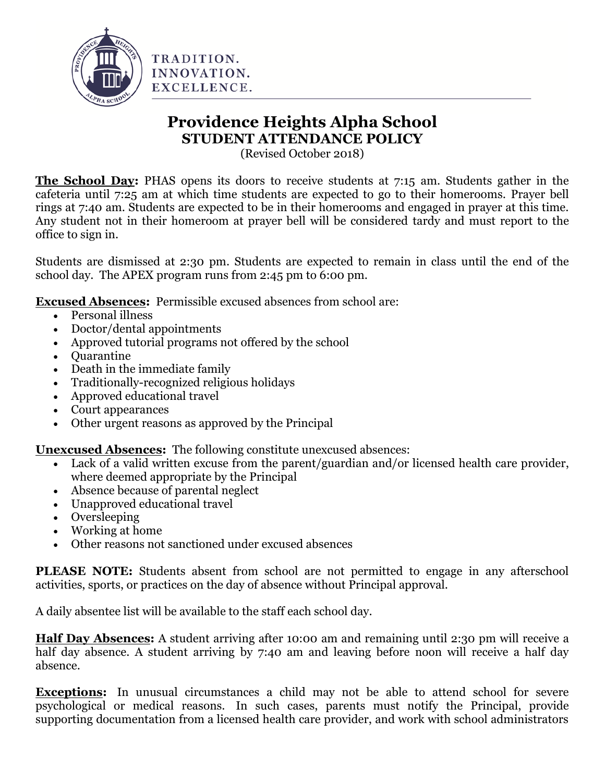

## **Providence Heights Alpha School STUDENT ATTENDANCE POLICY**

(Revised October 2018)

**The School Day:** PHAS opens its doors to receive students at 7:15 am. Students gather in the cafeteria until 7:25 am at which time students are expected to go to their homerooms. Prayer bell rings at 7:40 am. Students are expected to be in their homerooms and engaged in prayer at this time. Any student not in their homeroom at prayer bell will be considered tardy and must report to the office to sign in.

Students are dismissed at 2:30 pm. Students are expected to remain in class until the end of the school day. The APEX program runs from 2:45 pm to 6:00 pm.

**Excused Absences:** Permissible excused absences from school are:

- Personal illness
- Doctor/dental appointments
- Approved tutorial programs not offered by the school
- Ouarantine
- Death in the immediate family
- Traditionally-recognized religious holidays
- Approved educational travel
- Court appearances
- Other urgent reasons as approved by the Principal

**Unexcused Absences:** The following constitute unexcused absences:

- Lack of a valid written excuse from the parent/guardian and/or licensed health care provider, where deemed appropriate by the Principal
- Absence because of parental neglect
- Unapproved educational travel
- Oversleeping
- Working at home
- Other reasons not sanctioned under excused absences

**PLEASE NOTE:** Students absent from school are not permitted to engage in any afterschool activities, sports, or practices on the day of absence without Principal approval.

A daily absentee list will be available to the staff each school day.

**Half Day Absences:** A student arriving after 10:00 am and remaining until 2:30 pm will receive a half day absence. A student arriving by 7:40 am and leaving before noon will receive a half day absence.

**Exceptions:** In unusual circumstances a child may not be able to attend school for severe psychological or medical reasons. In such cases, parents must notify the Principal, provide supporting documentation from a licensed health care provider, and work with school administrators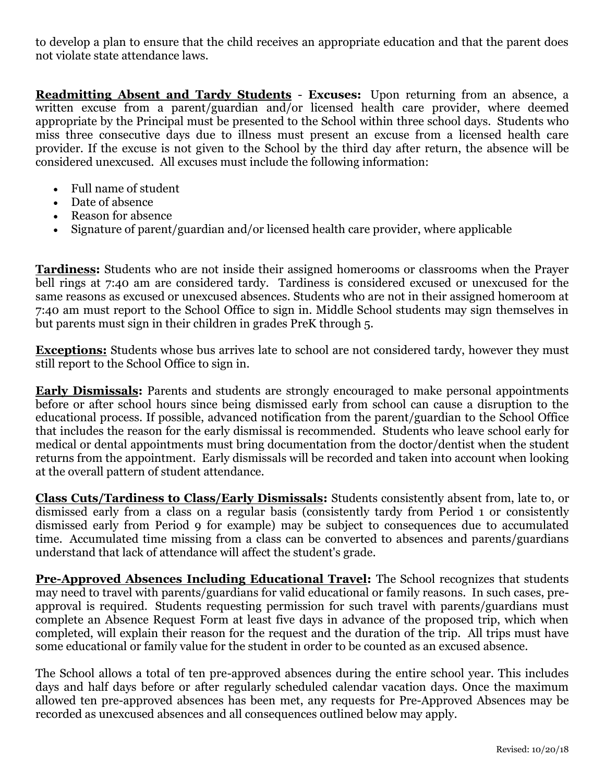to develop a plan to ensure that the child receives an appropriate education and that the parent does not violate state attendance laws.

**Readmitting Absent and Tardy Students** - **Excuses:** Upon returning from an absence, a written excuse from a parent/guardian and/or licensed health care provider, where deemed appropriate by the Principal must be presented to the School within three school days. Students who miss three consecutive days due to illness must present an excuse from a licensed health care provider. If the excuse is not given to the School by the third day after return, the absence will be considered unexcused. All excuses must include the following information:

- Full name of student
- Date of absence
- Reason for absence
- Signature of parent/guardian and/or licensed health care provider, where applicable

**Tardiness:** Students who are not inside their assigned homerooms or classrooms when the Prayer bell rings at 7:40 am are considered tardy. Tardiness is considered excused or unexcused for the same reasons as excused or unexcused absences. Students who are not in their assigned homeroom at 7:40 am must report to the School Office to sign in. Middle School students may sign themselves in but parents must sign in their children in grades PreK through 5.

**Exceptions:** Students whose bus arrives late to school are not considered tardy, however they must still report to the School Office to sign in.

**Early Dismissals:** Parents and students are strongly encouraged to make personal appointments before or after school hours since being dismissed early from school can cause a disruption to the educational process. If possible, advanced notification from the parent/guardian to the School Office that includes the reason for the early dismissal is recommended. Students who leave school early for medical or dental appointments must bring documentation from the doctor/dentist when the student returns from the appointment. Early dismissals will be recorded and taken into account when looking at the overall pattern of student attendance.

**Class Cuts/Tardiness to Class/Early Dismissals:** Students consistently absent from, late to, or dismissed early from a class on a regular basis (consistently tardy from Period 1 or consistently dismissed early from Period 9 for example) may be subject to consequences due to accumulated time. Accumulated time missing from a class can be converted to absences and parents/guardians understand that lack of attendance will affect the student's grade.

**Pre-Approved Absences Including Educational Travel:** The School recognizes that students may need to travel with parents/guardians for valid educational or family reasons. In such cases, preapproval is required. Students requesting permission for such travel with parents/guardians must complete an Absence Request Form at least five days in advance of the proposed trip, which when completed, will explain their reason for the request and the duration of the trip. All trips must have some educational or family value for the student in order to be counted as an excused absence.

The School allows a total of ten pre-approved absences during the entire school year. This includes days and half days before or after regularly scheduled calendar vacation days. Once the maximum allowed ten pre-approved absences has been met, any requests for Pre-Approved Absences may be recorded as unexcused absences and all consequences outlined below may apply.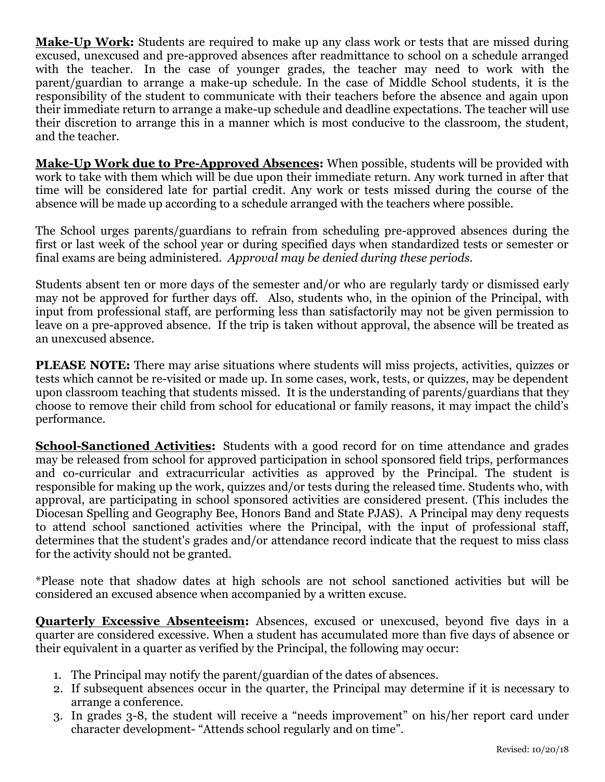**Make-Up Work:** Students are required to make up any class work or tests that are missed during excused, unexcused and pre-approved absences after readmittance to school on a schedule arranged with the teacher. In the case of younger grades, the teacher may need to work with the parent/guardian to arrange a make-up schedule. In the case of Middle School students, it is the responsibility of the student to communicate with their teachers before the absence and again upon their immediate return to arrange a make-up schedule and deadline expectations. The teacher will use their discretion to arrange this in a manner which is most conducive to the classroom, the student, and the teacher.

**Make-Up Work due to Pre-Approved Absences:** When possible, students will be provided with work to take with them which will be due upon their immediate return. Any work turned in after that time will be considered late for partial credit. Any work or tests missed during the course of the absence will be made up according to a schedule arranged with the teachers where possible.

The School urges parents/guardians to refrain from scheduling pre-approved absences during the first or last week of the school year or during specified days when standardized tests or semester or final exams are being administered. *Approval may be denied during these periods.*

Students absent ten or more days of the semester and/or who are regularly tardy or dismissed early may not be approved for further days off. Also, students who, in the opinion of the Principal, with input from professional staff, are performing less than satisfactorily may not be given permission to leave on a pre-approved absence. If the trip is taken without approval, the absence will be treated as an unexcused absence.

**PLEASE NOTE:** There may arise situations where students will miss projects, activities, quizzes or tests which cannot be re-visited or made up. In some cases, work, tests, or quizzes, may be dependent upon classroom teaching that students missed. It is the understanding of parents/guardians that they choose to remove their child from school for educational or family reasons, it may impact the child's performance.

**School-Sanctioned Activities:** Students with a good record for on time attendance and grades may be released from school for approved participation in school sponsored field trips, performances and co-curricular and extracurricular activities as approved by the Principal. The student is responsible for making up the work, quizzes and/or tests during the released time. Students who, with approval, are participating in school sponsored activities are considered present. (This includes the Diocesan Spelling and Geography Bee, Honors Band and State PJAS). A Principal may deny requests to attend school sanctioned activities where the Principal, with the input of professional staff, determines that the student's grades and/or attendance record indicate that the request to miss class for the activity should not be granted.

\*Please note that shadow dates at high schools are not school sanctioned activities but will be considered an excused absence when accompanied by a written excuse.

**Quarterly Excessive Absenteeism:** Absences, excused or unexcused, beyond five days in a quarter are considered excessive. When a student has accumulated more than five days of absence or their equivalent in a quarter as verified by the Principal, the following may occur:

- 1. The Principal may notify the parent/guardian of the dates of absences.
- 2. If subsequent absences occur in the quarter, the Principal may determine if it is necessary to arrange a conference.
- 3. In grades 3-8, the student will receive a "needs improvement" on his/her report card under character development- "Attends school regularly and on time".